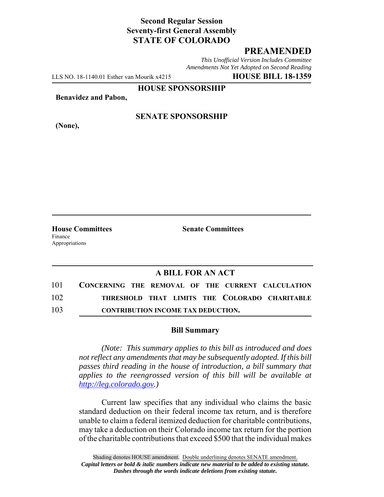## **Second Regular Session Seventy-first General Assembly STATE OF COLORADO**

## **PREAMENDED**

*This Unofficial Version Includes Committee Amendments Not Yet Adopted on Second Reading*

LLS NO. 18-1140.01 Esther van Mourik x4215 **HOUSE BILL 18-1359**

**HOUSE SPONSORSHIP**

**Benavidez and Pabon,**

**(None),**

### **SENATE SPONSORSHIP**

Finance Appropriations

**House Committees Senate Committees** 

# **A BILL FOR AN ACT**

| 101 | CONCERNING THE REMOVAL OF THE CURRENT CALCULATION |
|-----|---------------------------------------------------|
| 102 | THRESHOLD THAT LIMITS THE COLORADO CHARITABLE     |
| 103 | <b>CONTRIBUTION INCOME TAX DEDUCTION.</b>         |

#### **Bill Summary**

*(Note: This summary applies to this bill as introduced and does not reflect any amendments that may be subsequently adopted. If this bill passes third reading in the house of introduction, a bill summary that applies to the reengrossed version of this bill will be available at http://leg.colorado.gov.)*

Current law specifies that any individual who claims the basic standard deduction on their federal income tax return, and is therefore unable to claim a federal itemized deduction for charitable contributions, may take a deduction on their Colorado income tax return for the portion of the charitable contributions that exceed \$500 that the individual makes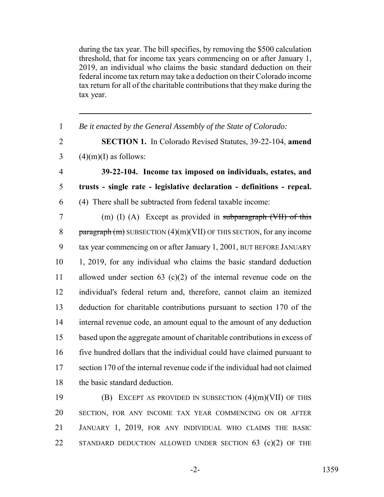during the tax year. The bill specifies, by removing the \$500 calculation threshold, that for income tax years commencing on or after January 1, 2019, an individual who claims the basic standard deduction on their federal income tax return may take a deduction on their Colorado income tax return for all of the charitable contributions that they make during the tax year.

 *Be it enacted by the General Assembly of the State of Colorado:* **SECTION 1.** In Colorado Revised Statutes, 39-22-104, **amend**  $3 \qquad (4)(m)(I)$  as follows: **39-22-104. Income tax imposed on individuals, estates, and trusts - single rate - legislative declaration - definitions - repeal.** (4) There shall be subtracted from federal taxable income: (m) (I) (A) Except as provided in subparagraph (VII) of this 8 paragraph  $(m)$  SUBSECTION  $(4)(m)(VII)$  OF THIS SECTION, for any income tax year commencing on or after January 1, 2001, BUT BEFORE JANUARY 1, 2019, for any individual who claims the basic standard deduction allowed under section 63 (c)(2) of the internal revenue code on the individual's federal return and, therefore, cannot claim an itemized deduction for charitable contributions pursuant to section 170 of the internal revenue code, an amount equal to the amount of any deduction based upon the aggregate amount of charitable contributions in excess of five hundred dollars that the individual could have claimed pursuant to section 170 of the internal revenue code if the individual had not claimed the basic standard deduction.

 (B) EXCEPT AS PROVIDED IN SUBSECTION (4)(m)(VII) OF THIS SECTION, FOR ANY INCOME TAX YEAR COMMENCING ON OR AFTER JANUARY 1, 2019, FOR ANY INDIVIDUAL WHO CLAIMS THE BASIC 22 STANDARD DEDUCTION ALLOWED UNDER SECTION 63 (c)(2) OF THE